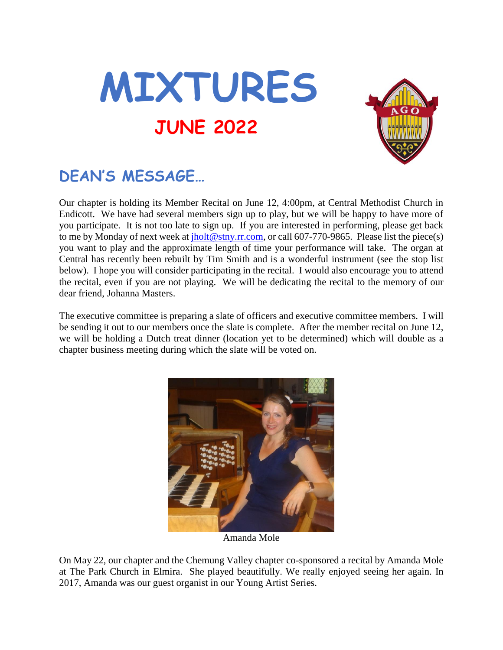



# **DEAN'S MESSAGE…**

Our chapter is holding its Member Recital on June 12, 4:00pm, at Central Methodist Church in Endicott. We have had several members sign up to play, but we will be happy to have more of you participate. It is not too late to sign up. If you are interested in performing, please get back to me by Monday of next week at [jholt@stny.rr.com,](mailto:jholt@stny.rr.com) or call 607-770-9865. Please list the piece(s) you want to play and the approximate length of time your performance will take. The organ at Central has recently been rebuilt by Tim Smith and is a wonderful instrument (see the stop list below). I hope you will consider participating in the recital. I would also encourage you to attend the recital, even if you are not playing. We will be dedicating the recital to the memory of our dear friend, Johanna Masters.

The executive committee is preparing a slate of officers and executive committee members. I will be sending it out to our members once the slate is complete. After the member recital on June 12, we will be holding a Dutch treat dinner (location yet to be determined) which will double as a chapter business meeting during which the slate will be voted on.



Amanda Mole

On May 22, our chapter and the Chemung Valley chapter co-sponsored a recital by Amanda Mole at The Park Church in Elmira. She played beautifully. We really enjoyed seeing her again. In 2017, Amanda was our guest organist in our Young Artist Series.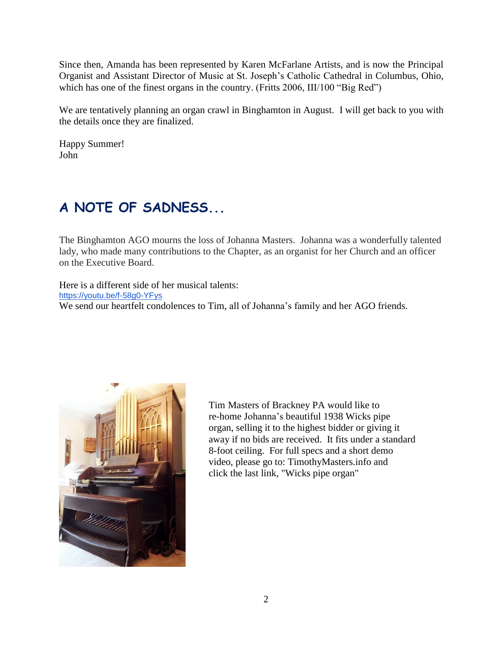Since then, Amanda has been represented by Karen McFarlane Artists, and is now the Principal Organist and Assistant Director of Music at St. Joseph's Catholic Cathedral in Columbus, Ohio, which has one of the finest organs in the country. (Fritts 2006, III/100 "Big Red")

We are tentatively planning an organ crawl in Binghamton in August. I will get back to you with the details once they are finalized.

Happy Summer! John

# **A NOTE OF SADNESS...**

The Binghamton AGO mourns the loss of Johanna Masters. Johanna was a wonderfully talented lady, who made many contributions to the Chapter, as an organist for her Church and an officer on the Executive Board.

Here is a different side of her musical talents: <https://youtu.be/f-58g0-YFys> We send our heartfelt condolences to Tim, all of Johanna's family and her AGO friends.



Tim Masters of Brackney PA would like to re-home Johanna's beautiful 1938 Wicks pipe organ, selling it to the highest bidder or giving it away if no bids are received. It fits under a standard 8-foot ceiling. For full specs and a short demo video, please go to: TimothyMasters.info and click the last link, "Wicks pipe organ"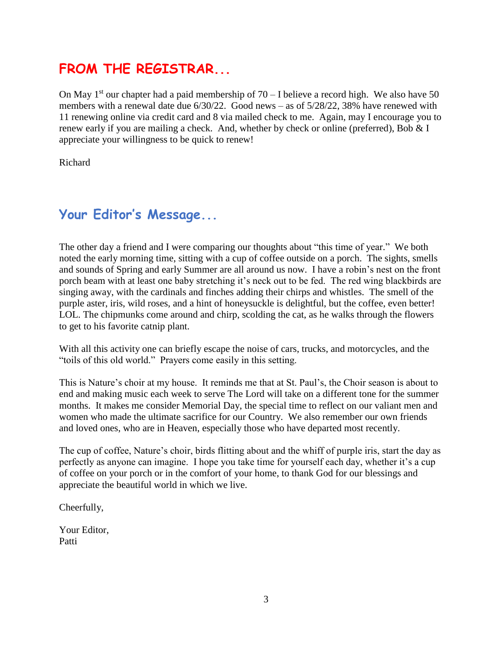### **FROM THE REGISTRAR...**

On May  $1<sup>st</sup>$  our chapter had a paid membership of 70 – I believe a record high. We also have 50 members with a renewal date due  $6/30/22$ . Good news – as of  $5/28/22$ , 38% have renewed with 11 renewing online via credit card and 8 via mailed check to me. Again, may I encourage you to renew early if you are mailing a check. And, whether by check or online (preferred), Bob & I appreciate your willingness to be quick to renew!

Richard

### **Your Editor's Message...**

The other day a friend and I were comparing our thoughts about "this time of year." We both noted the early morning time, sitting with a cup of coffee outside on a porch. The sights, smells and sounds of Spring and early Summer are all around us now. I have a robin's nest on the front porch beam with at least one baby stretching it's neck out to be fed. The red wing blackbirds are singing away, with the cardinals and finches adding their chirps and whistles. The smell of the purple aster, iris, wild roses, and a hint of honeysuckle is delightful, but the coffee, even better! LOL. The chipmunks come around and chirp, scolding the cat, as he walks through the flowers to get to his favorite catnip plant.

With all this activity one can briefly escape the noise of cars, trucks, and motorcycles, and the "toils of this old world." Prayers come easily in this setting.

This is Nature's choir at my house. It reminds me that at St. Paul's, the Choir season is about to end and making music each week to serve The Lord will take on a different tone for the summer months. It makes me consider Memorial Day, the special time to reflect on our valiant men and women who made the ultimate sacrifice for our Country. We also remember our own friends and loved ones, who are in Heaven, especially those who have departed most recently.

The cup of coffee, Nature's choir, birds flitting about and the whiff of purple iris, start the day as perfectly as anyone can imagine. I hope you take time for yourself each day, whether it's a cup of coffee on your porch or in the comfort of your home, to thank God for our blessings and appreciate the beautiful world in which we live.

Cheerfully,

Your Editor, Patti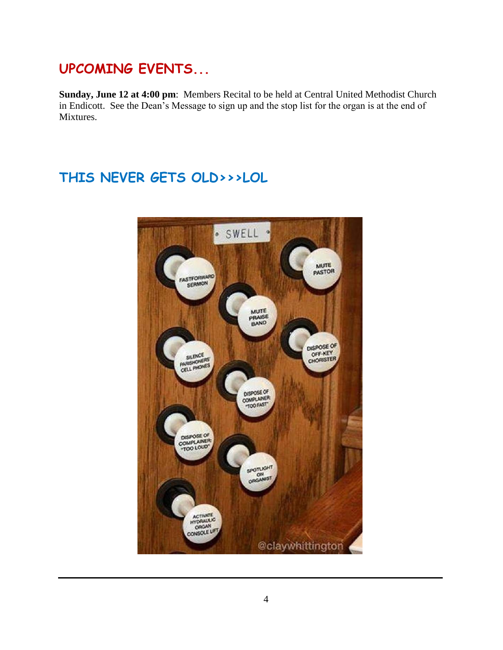### **UPCOMING EVENTS...**

**Sunday, June 12 at 4:00 pm**: Members Recital to be held at Central United Methodist Church in Endicott. See the Dean's Message to sign up and the stop list for the organ is at the end of Mixtures.

## **THIS NEVER GETS OLD>>>LOL**

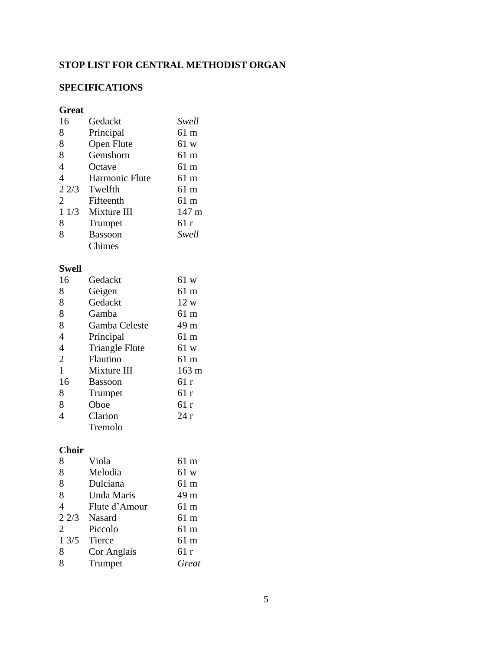### **STOP LIST FOR CENTRAL METHODIST ORGAN**

#### **SPECIFICATIONS**

#### **Great**

| 16             | Gedackt        | Swell           |
|----------------|----------------|-----------------|
| 8              | Principal      | 61 m            |
| 8              | Open Flute     | 61 w            |
| 8              | Gemshorn       | 61 m            |
| $\overline{4}$ | Octave         | 61 m            |
| 4              | Harmonic Flute | 61 m            |
| 22/3           | Twelfth        | 61 m            |
| $\overline{2}$ | Fifteenth      | 61 m            |
| 11/3           | Mixture III    | $147 \text{ m}$ |
| 8              | Trumpet        | 61 r            |
| 8              | <b>Bassoon</b> | Swell           |
|                | Chimes         |                 |
|                |                |                 |

#### **Swell**

| 16             | Gedackt               | 61 w            |
|----------------|-----------------------|-----------------|
| 8              | Geigen                | 61 m            |
| 8              | Gedackt               | 12 w            |
| 8              | Gamba                 | 61 m            |
| 8              | Gamba Celeste         | 49 m            |
| $\overline{4}$ | Principal             | 61 m            |
| $\overline{4}$ | <b>Triangle Flute</b> | 61 w            |
| $\overline{2}$ | Flautino              | 61 m            |
| $\mathbf{1}$   | Mixture III           | $163 \text{ m}$ |
| 16             | <b>Bassoon</b>        | 61r             |
| 8              | Trumpet               | 61 r            |
| 8              | Oboe                  | 61 r            |
| 4              | Clarion               | 24r             |
|                | Tremolo               |                 |

#### **Choir**

| 8              | Viola         | 61 m  |
|----------------|---------------|-------|
| 8              | Melodia       | 61 w  |
| 8              | Dulciana      | 61 m  |
| 8              | Unda Maris    | 49 m  |
| $\overline{4}$ | Flute d'Amour | 61 m  |
|                | $22/3$ Nasard | 61 m  |
| $\overline{2}$ | Piccolo       | 61 m  |
| 13/5           | Tierce        | 61 m  |
| 8              | Cor Anglais   | 61 r  |
| 8              | Trumpet       | Great |
|                |               |       |